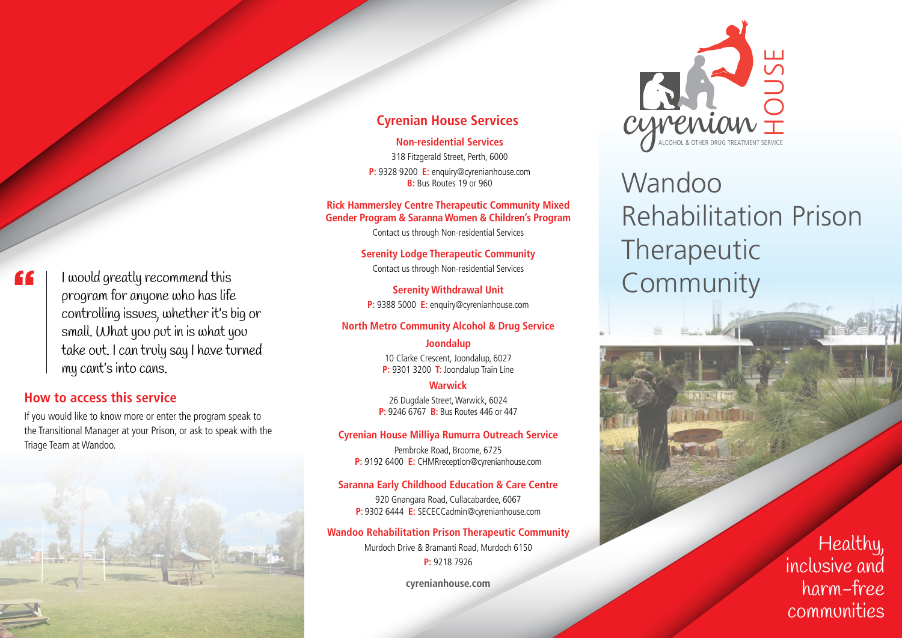#### "

I would greatly recommend this program for anyone who has life controlling issues, whether it's big or small. What you put in is what you take out. I can truly say I have turned my cant's into cans.

## **How to access this service**

If you would like to know more or enter the program speak to the Transitional Manager at your Prison, or ask to speak with the Triage Team at Wandoo.



#### **Cyrenian House Services**

**Non-residential Services**

318 Fitzgerald Street, Perth, 6000 **P:** 9328 9200 **E:** enquiry@cyrenianhouse.com **B:** Bus Routes 19 or 960

#### **Rick Hammersley Centre Therapeutic Community Mixed Gender Program & Saranna Women & Children's Program**

Contact us through Non-residential Services

**Serenity Lodge Therapeutic Community** Contact us through Non-residential Services

**Serenity Withdrawal Unit P:** 9388 5000 **E:** enquiry@cyrenianhouse.com

#### **North Metro Community Alcohol & Drug Service**

#### **Joondalup**

10 Clarke Crescent, Joondalup, 6027 **P:** 9301 3200 **T:** Joondalup Train Line

#### **Warwick**

26 Dugdale Street, Warwick, 6024 **P:** 9246 6767 **B:** Bus Routes 446 or 447

#### **Cyrenian House Milliya Rumurra Outreach Service**

Pembroke Road, Broome, 6725 **P:** 9192 6400 **E:** CHMRreception@cyrenianhouse.com

#### **Saranna Early Childhood Education & Care Centre**

920 Gnangara Road, Cullacabardee, 6067 **P:** 9302 6444 **E:** SECECCadmin@cyrenianhouse.com

#### **Wandoo Rehabilitation Prison Therapeutic Community**

Murdoch Drive & Bramanti Road, Murdoch 6150 **P:** 9218 7926

**cyrenianhouse.com**



# Wandoo Rehabilitation Prison Therapeutic Community

Healthy, inclusive and harm-free communities